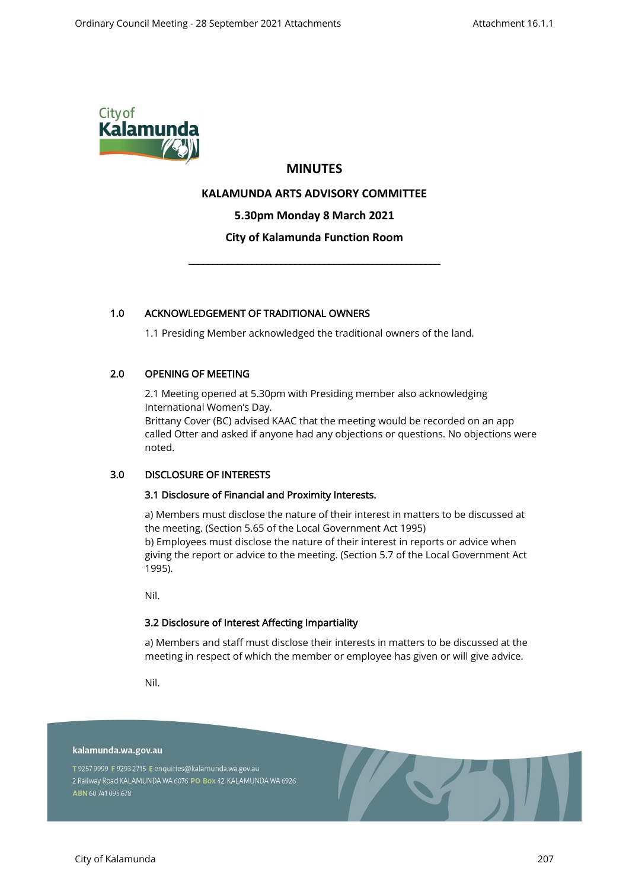

# **MINUTES**

# **KALAMUNDA ARTS ADVISORY COMMITTEE**

**5.30pm Monday 8 March 2021**

# **City of Kalamunda Function Room**

\_\_\_\_\_\_\_\_\_\_\_\_\_\_\_\_\_\_\_\_\_\_\_\_\_\_\_\_\_\_\_\_\_\_\_\_\_\_\_\_\_\_\_\_\_\_\_\_\_\_\_\_

# 1.0 ACKNOWLEDGEMENT OF TRADITIONAL OWNERS

1.1 Presiding Member acknowledged the traditional owners of the land.

# 2.0 OPENING OF MEETING

2.1 Meeting opened at 5.30pm with Presiding member also acknowledging International Women's Day.

Brittany Cover (BC) advised KAAC that the meeting would be recorded on an app called Otter and asked if anyone had any objections or questions. No objections were noted.

# 3.0 DISCLOSURE OF INTERESTS

#### 3.1 Disclosure of Financial and Proximity Interests.

a) Members must disclose the nature of their interest in matters to be discussed at the meeting. (Section 5.65 of the Local Government Act 1995) b) Employees must disclose the nature of their interest in reports or advice when giving the report or advice to the meeting. (Section 5.7 of the Local Government Act 1995).

Nil.

#### 3.2 Disclosure of Interest Affecting Impartiality

a) Members and staff must disclose their interests in matters to be discussed at the meeting in respect of which the member or employee has given or will give advice.

Nil.

#### kalamunda.wa.gov.au

T 9257 9999 F 9293 2715 E enquiries@kalamunda.wa.gov.au 2 Railway Road KALAMUNDA WA 6076 PO Box 42, KALAMUNDA WA 6926 ABN 60741095678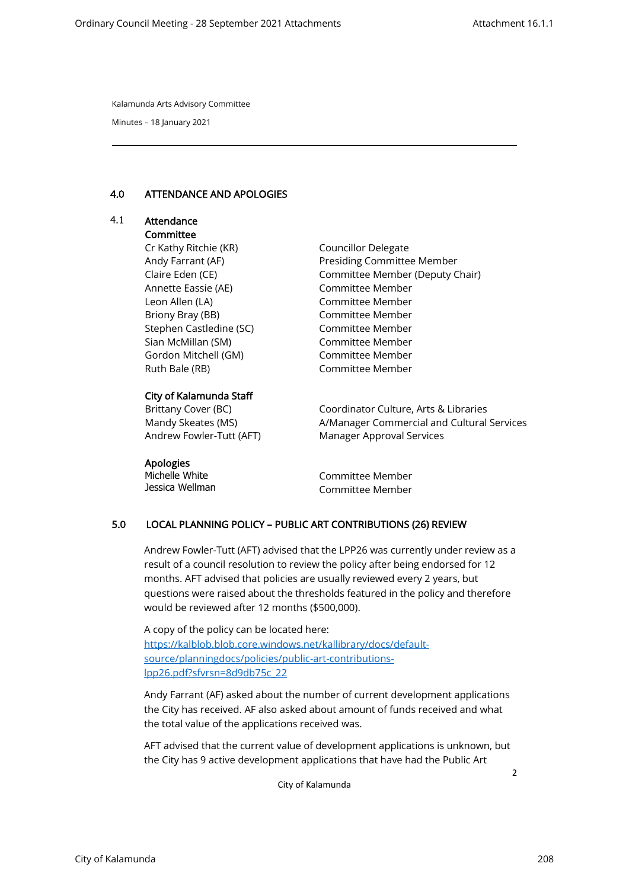Minutes – 18 January 2021

#### 4.0 ATTENDANCE AND APOLOGIES

# 4.1 Attendance **Committee**

Cr Kathy Ritchie (KR) Andy Farrant (AF) Claire Eden (CE) Annette Eassie (AE) Leon Allen (LA) Briony Bray (BB) Stephen Castledine (SC) Sian McMillan (SM) Gordon Mitchell (GM) Ruth Bale (RB)

# City of Kalamunda Staff

Brittany Cover (BC) Mandy Skeates (MS) Andrew Fowler-Tutt (AFT) Councillor Delegate Presiding Committee Member Committee Member (Deputy Chair) Committee Member Committee Member Committee Member Committee Member Committee Member Committee Member Committee Member

Coordinator Culture, Arts & Libraries A/Manager Commercial and Cultural Services Manager Approval Services

Apologies Michelle White Jessica Wellman

Committee Member Committee Member

# 5.0 LOCAL PLANNING POLICY – PUBLIC ART CONTRIBUTIONS (26) REVIEW

Andrew Fowler-Tutt (AFT) advised that the LPP26 was currently under review as a result of a council resolution to review the policy after being endorsed for 12 months. AFT advised that policies are usually reviewed every 2 years, but questions were raised about the thresholds featured in the policy and therefore would be reviewed after 12 months (\$500,000).

A copy of the policy can be located here: [https://kalblob.blob.core.windows.net/kallibrary/docs/default](https://kalblob.blob.core.windows.net/kallibrary/docs/default-source/planningdocs/policies/public-art-contributions-lpp26.pdf?sfvrsn=8d9db75c_22)[source/planningdocs/policies/public-art-contributions](https://kalblob.blob.core.windows.net/kallibrary/docs/default-source/planningdocs/policies/public-art-contributions-lpp26.pdf?sfvrsn=8d9db75c_22)[lpp26.pdf?sfvrsn=8d9db75c\\_22](https://kalblob.blob.core.windows.net/kallibrary/docs/default-source/planningdocs/policies/public-art-contributions-lpp26.pdf?sfvrsn=8d9db75c_22)

Andy Farrant (AF) asked about the number of current development applications the City has received. AF also asked about amount of funds received and what the total value of the applications received was.

2 AFT advised that the current value of development applications is unknown, but the City has 9 active development applications that have had the Public Art

City of Kalamunda

City of Kalamunda 208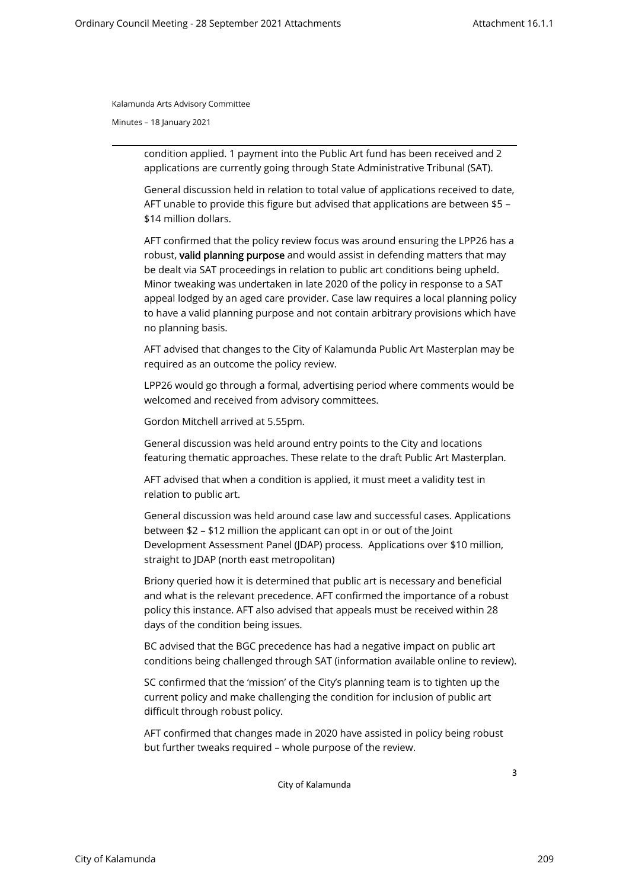Minutes – 18 January 2021

condition applied. 1 payment into the Public Art fund has been received and 2 applications are currently going through State Administrative Tribunal (SAT).

General discussion held in relation to total value of applications received to date, AFT unable to provide this figure but advised that applications are between \$5 – \$14 million dollars.

AFT confirmed that the policy review focus was around ensuring the LPP26 has a robust, valid planning purpose and would assist in defending matters that may be dealt via SAT proceedings in relation to public art conditions being upheld. Minor tweaking was undertaken in late 2020 of the policy in response to a SAT appeal lodged by an aged care provider. Case law requires a local planning policy to have a valid planning purpose and not contain arbitrary provisions which have no planning basis.

AFT advised that changes to the City of Kalamunda Public Art Masterplan may be required as an outcome the policy review.

LPP26 would go through a formal, advertising period where comments would be welcomed and received from advisory committees.

Gordon Mitchell arrived at 5.55pm.

General discussion was held around entry points to the City and locations featuring thematic approaches. These relate to the draft Public Art Masterplan.

AFT advised that when a condition is applied, it must meet a validity test in relation to public art.

General discussion was held around case law and successful cases. Applications between \$2 – \$12 million the applicant can opt in or out of the Joint Development Assessment Panel (JDAP) process. Applications over \$10 million, straight to JDAP (north east metropolitan)

Briony queried how it is determined that public art is necessary and beneficial and what is the relevant precedence. AFT confirmed the importance of a robust policy this instance. AFT also advised that appeals must be received within 28 days of the condition being issues.

BC advised that the BGC precedence has had a negative impact on public art conditions being challenged through SAT (information available online to review).

SC confirmed that the 'mission' of the City's planning team is to tighten up the current policy and make challenging the condition for inclusion of public art difficult through robust policy.

AFT confirmed that changes made in 2020 have assisted in policy being robust but further tweaks required – whole purpose of the review.

City of Kalamunda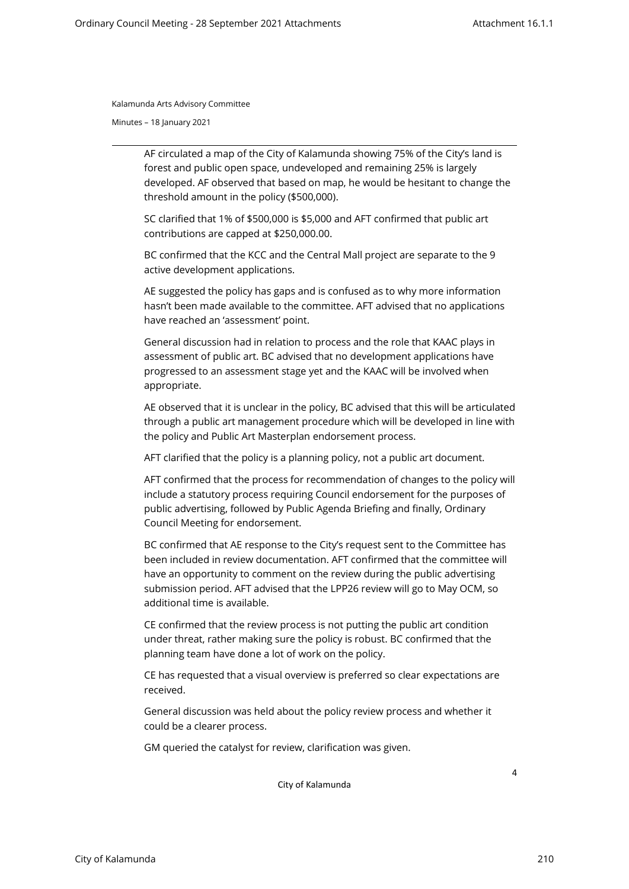Minutes – 18 January 2021

AF circulated a map of the City of Kalamunda showing 75% of the City's land is forest and public open space, undeveloped and remaining 25% is largely developed. AF observed that based on map, he would be hesitant to change the threshold amount in the policy (\$500,000).

SC clarified that 1% of \$500,000 is \$5,000 and AFT confirmed that public art contributions are capped at \$250,000.00.

BC confirmed that the KCC and the Central Mall project are separate to the 9 active development applications.

AE suggested the policy has gaps and is confused as to why more information hasn't been made available to the committee. AFT advised that no applications have reached an 'assessment' point.

General discussion had in relation to process and the role that KAAC plays in assessment of public art. BC advised that no development applications have progressed to an assessment stage yet and the KAAC will be involved when appropriate.

AE observed that it is unclear in the policy, BC advised that this will be articulated through a public art management procedure which will be developed in line with the policy and Public Art Masterplan endorsement process.

AFT clarified that the policy is a planning policy, not a public art document.

AFT confirmed that the process for recommendation of changes to the policy will include a statutory process requiring Council endorsement for the purposes of public advertising, followed by Public Agenda Briefing and finally, Ordinary Council Meeting for endorsement.

BC confirmed that AE response to the City's request sent to the Committee has been included in review documentation. AFT confirmed that the committee will have an opportunity to comment on the review during the public advertising submission period. AFT advised that the LPP26 review will go to May OCM, so additional time is available.

CE confirmed that the review process is not putting the public art condition under threat, rather making sure the policy is robust. BC confirmed that the planning team have done a lot of work on the policy.

CE has requested that a visual overview is preferred so clear expectations are received.

General discussion was held about the policy review process and whether it could be a clearer process.

GM queried the catalyst for review, clarification was given.

City of Kalamunda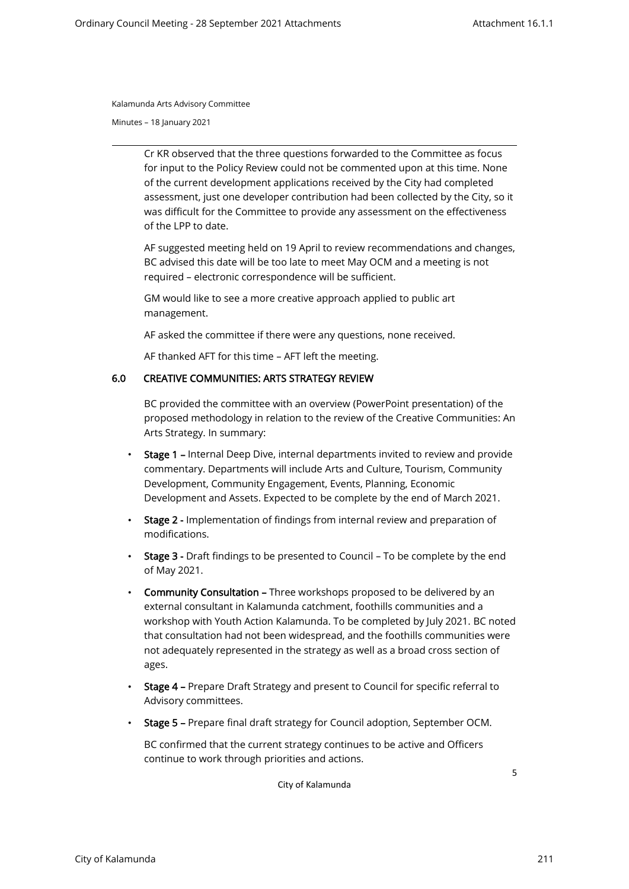Minutes – 18 January 2021

Cr KR observed that the three questions forwarded to the Committee as focus for input to the Policy Review could not be commented upon at this time. None of the current development applications received by the City had completed assessment, just one developer contribution had been collected by the City, so it was difficult for the Committee to provide any assessment on the effectiveness of the LPP to date.

AF suggested meeting held on 19 April to review recommendations and changes, BC advised this date will be too late to meet May OCM and a meeting is not required – electronic correspondence will be sufficient.

GM would like to see a more creative approach applied to public art management.

AF asked the committee if there were any questions, none received.

AF thanked AFT for this time – AFT left the meeting.

#### 6.0 CREATIVE COMMUNITIES: ARTS STRATEGY REVIEW

BC provided the committee with an overview (PowerPoint presentation) of the proposed methodology in relation to the review of the Creative Communities: An Arts Strategy. In summary:

- Stage 1 Internal Deep Dive, internal departments invited to review and provide commentary. Departments will include Arts and Culture, Tourism, Community Development, Community Engagement, Events, Planning, Economic Development and Assets. Expected to be complete by the end of March 2021.
- Stage 2 Implementation of findings from internal review and preparation of modifications.
- Stage 3 Draft findings to be presented to Council To be complete by the end of May 2021.
- Community Consultation Three workshops proposed to be delivered by an external consultant in Kalamunda catchment, foothills communities and a workshop with Youth Action Kalamunda. To be completed by July 2021. BC noted that consultation had not been widespread, and the foothills communities were not adequately represented in the strategy as well as a broad cross section of ages.
- Stage 4 Prepare Draft Strategy and present to Council for specific referral to Advisory committees.
- Stage 5 Prepare final draft strategy for Council adoption, September OCM.

BC confirmed that the current strategy continues to be active and Officers continue to work through priorities and actions.

City of Kalamunda